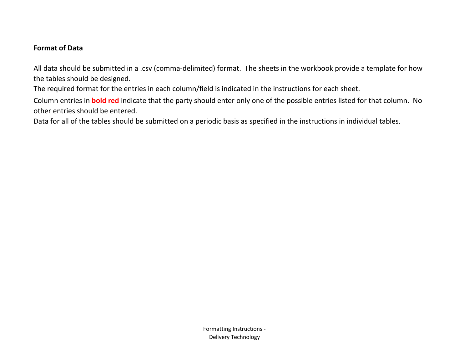## **Format of Data**

All data should be submitted in a .csv (comma-delimited) format. The sheets in the workbook provide a template for how the tables should be designed.

The required format for the entries in each column/field is indicated in the instructions for each sheet.

Column entries in **bold red** indicate that the party should enter only one of the possible entries listed for that column. No other entries should be entered.

Data for all of the tables should be submitted on a periodic basis as specified in the instructions in individual tables.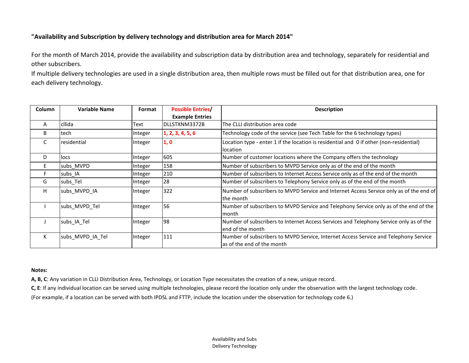## **"Availability and Subscription by delivery technology and distribution area for March 2014"**

For the month of March 2014, provide the availability and subscription data by distribution area and technology, separately for residential and other subscribers.

If multiple delivery technologies are used in a single distribution area, then multiple rows must be filled out for that distribution area, one for each delivery technology.

| Column | Variable Name    | Format  | <b>Possible Entries/</b> | <b>Description</b>                                                                                                 |  |  |  |
|--------|------------------|---------|--------------------------|--------------------------------------------------------------------------------------------------------------------|--|--|--|
|        |                  |         | <b>Example Entries</b>   |                                                                                                                    |  |  |  |
| A      | cllida           | Text    | DLLSTXNM3372B            | The CLLI distribution area code                                                                                    |  |  |  |
| B      | tech             | Integer | 1, 2, 3, 4, 5, 6         | Technology code of the service (see Tech Table for the 6 technology types)                                         |  |  |  |
| C      | residential      | Integer | 1,0                      | Location type - enter 1 if the location is residential and 0 if other (non-residential)<br>location                |  |  |  |
| D      | locs             | Integer | 605                      | Number of customer locations where the Company offers the technology                                               |  |  |  |
| E.     | subs MVPD        | Integer | 158                      | Number of subscribers to MVPD Service only as of the end of the month                                              |  |  |  |
| F.     | subs_IA          | Integer | 210                      | Number of subscribers to Internet Access Service only as of the end of the month                                   |  |  |  |
| G      | subs_Tel         | Integer | 28                       | Number of subscribers to Telephony Service only as of the end of the month                                         |  |  |  |
| H      | subs MVPD IA     | Integer | 322                      | Number of subscribers to MVPD Service and Internet Access Service only as of the end of<br>the month               |  |  |  |
|        | subs MVPD Tel    | Integer | 56                       | Number of subscribers to MVPD Service and Telephony Service only as of the end of the<br>lmonth                    |  |  |  |
|        | subs IA Tel      | Integer | 98                       | Number of subscribers to Internet Access Services and Telephony Service only as of the<br>end of the month         |  |  |  |
| K      | subs_MVPD_IA_Tel | Integer | 111                      | Number of subscribers to MVPD Service, Internet Access Service and Telephony Service<br>as of the end of the month |  |  |  |

## **Notes:**

**A, B, C**: Any variation in CLLI Distribution Area, Technology, or Location Type necessitates the creation of a new, unique record.

**C, E**: If any individual location can be served using multiple technologies, please record the location only under the observation with the largest technology code.

(For example, if a location can be served with both IPDSL and FTTP, include the location under the observation for technology code 6.)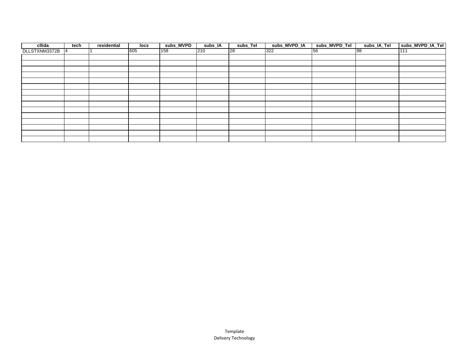| cllida        | tech           | residential | locs | subs_MVPD | subs_IA | subs_Tel | subs_MVPD_IA | subs_MVPD_Tel | subs_IA_Tel | subs_MVPD_IA_Tel |
|---------------|----------------|-------------|------|-----------|---------|----------|--------------|---------------|-------------|------------------|
| DLLSTXNM3372B | $\overline{4}$ |             | 605  | 158       | 210     | 28       | 322          | 56            | 98          | 111              |
|               |                |             |      |           |         |          |              |               |             |                  |
|               |                |             |      |           |         |          |              |               |             |                  |
|               |                |             |      |           |         |          |              |               |             |                  |
|               |                |             |      |           |         |          |              |               |             |                  |
|               |                |             |      |           |         |          |              |               |             |                  |
|               |                |             |      |           |         |          |              |               |             |                  |
|               |                |             |      |           |         |          |              |               |             |                  |
|               |                |             |      |           |         |          |              |               |             |                  |
|               |                |             |      |           |         |          |              |               |             |                  |
|               |                |             |      |           |         |          |              |               |             |                  |
|               |                |             |      |           |         |          |              |               |             |                  |
|               |                |             |      |           |         |          |              |               |             |                  |
|               |                |             |      |           |         |          |              |               |             |                  |
|               |                |             |      |           |         |          |              |               |             |                  |
|               |                |             |      |           |         |          |              |               |             |                  |